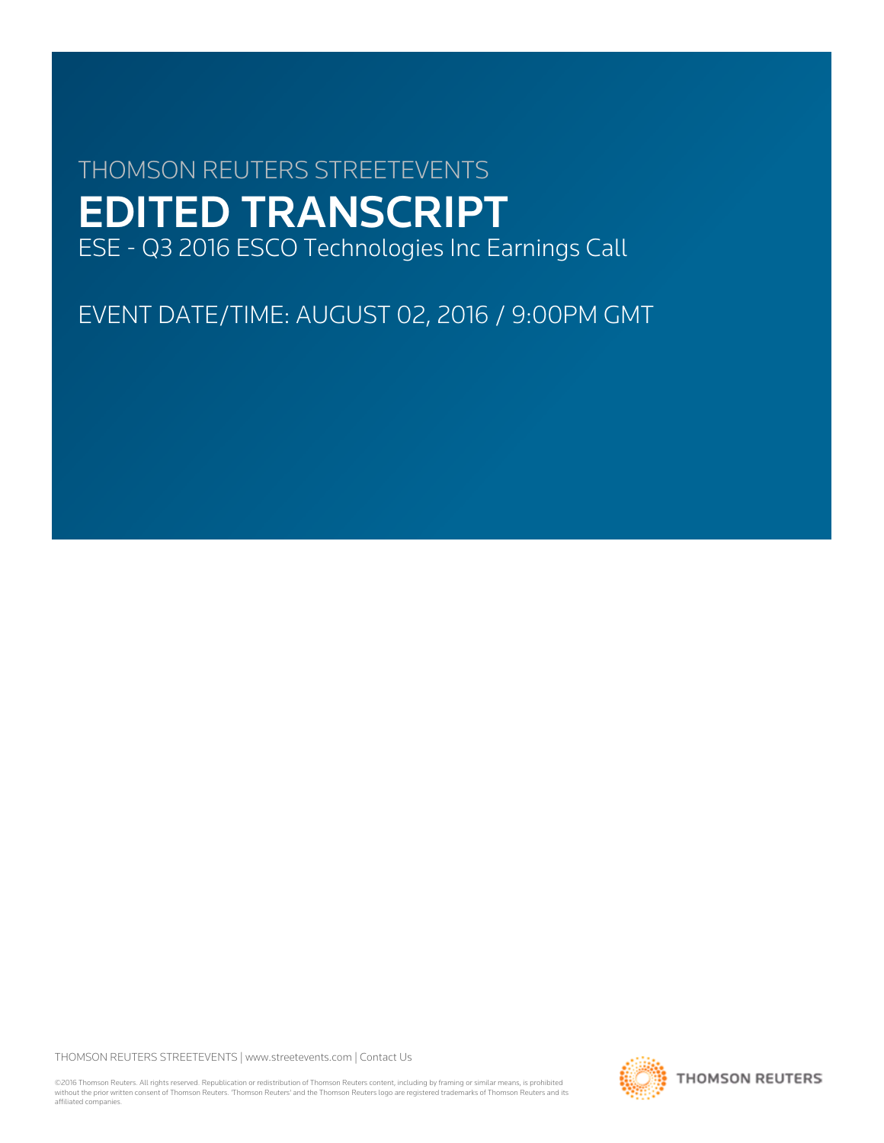# THOMSON REUTERS STREETEVENTS EDITED TRANSCRIPT ESE - Q3 2016 ESCO Technologies Inc Earnings Call

EVENT DATE/TIME: AUGUST 02, 2016 / 9:00PM GMT

THOMSON REUTERS STREETEVENTS | [www.streetevents.com](http://www.streetevents.com) | [Contact Us](http://www010.streetevents.com/contact.asp)

©2016 Thomson Reuters. All rights reserved. Republication or redistribution of Thomson Reuters content, including by framing or similar means, is prohibited without the prior written consent of Thomson Reuters. 'Thomson Reuters' and the Thomson Reuters logo are registered trademarks of Thomson Reuters and its affiliated companies.

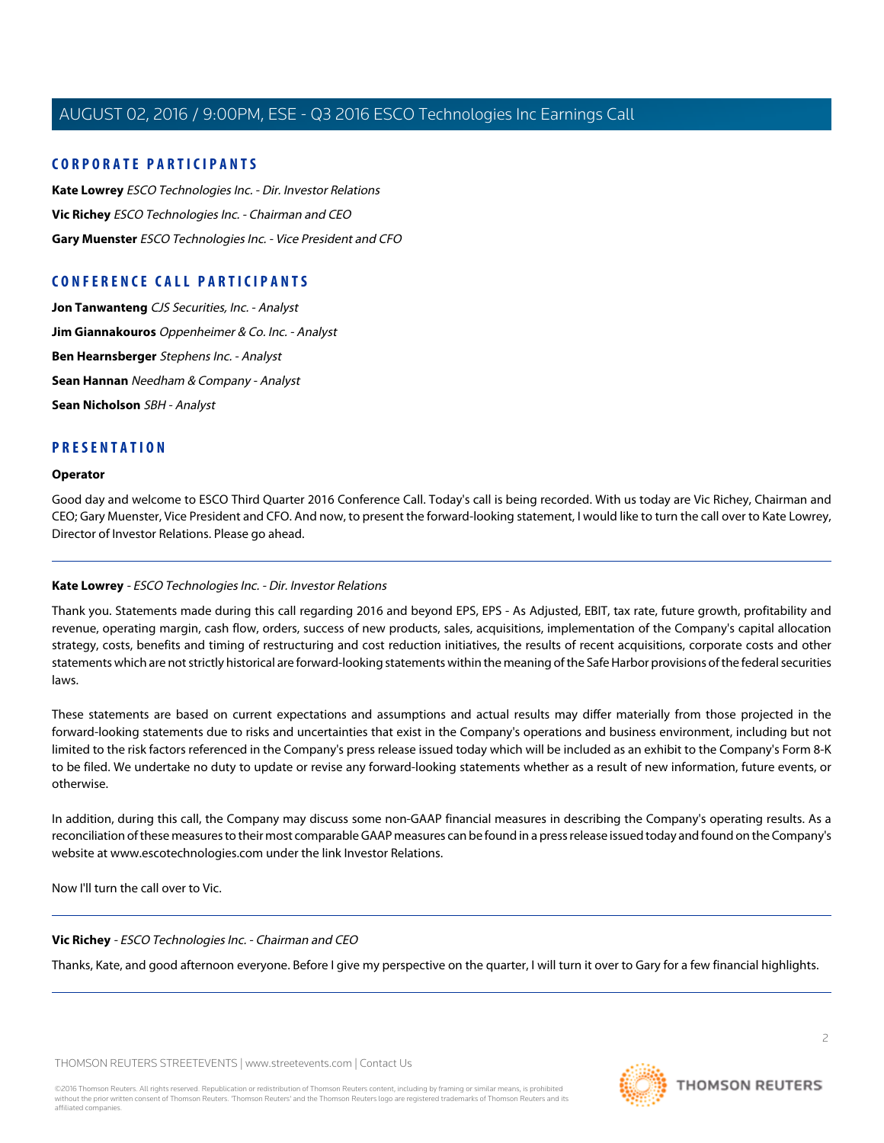## **CORPORATE PARTICIPANTS**

**[Kate Lowrey](#page-1-0)** ESCO Technologies Inc. - Dir. Investor Relations **[Vic Richey](#page-1-1)** ESCO Technologies Inc. - Chairman and CEO **[Gary Muenster](#page-2-0)** ESCO Technologies Inc. - Vice President and CFO

## **CONFERENCE CALL PARTICIPANTS**

**[Jon Tanwanteng](#page-4-0)** CJS Securities, Inc. - Analyst **[Jim Giannakouros](#page-6-0)** Oppenheimer & Co. Inc. - Analyst **[Ben Hearnsberger](#page-7-0)** Stephens Inc. - Analyst **[Sean Hannan](#page-9-0)** Needham & Company - Analyst **[Sean Nicholson](#page-11-0)** SBH - Analyst

## **PRESENTATION**

#### **Operator**

<span id="page-1-0"></span>Good day and welcome to ESCO Third Quarter 2016 Conference Call. Today's call is being recorded. With us today are Vic Richey, Chairman and CEO; Gary Muenster, Vice President and CFO. And now, to present the forward-looking statement, I would like to turn the call over to Kate Lowrey, Director of Investor Relations. Please go ahead.

## **Kate Lowrey** - ESCO Technologies Inc. - Dir. Investor Relations

Thank you. Statements made during this call regarding 2016 and beyond EPS, EPS - As Adjusted, EBIT, tax rate, future growth, profitability and revenue, operating margin, cash flow, orders, success of new products, sales, acquisitions, implementation of the Company's capital allocation strategy, costs, benefits and timing of restructuring and cost reduction initiatives, the results of recent acquisitions, corporate costs and other statements which are not strictly historical are forward-looking statements within the meaning of the Safe Harbor provisions of the federal securities laws.

These statements are based on current expectations and assumptions and actual results may differ materially from those projected in the forward-looking statements due to risks and uncertainties that exist in the Company's operations and business environment, including but not limited to the risk factors referenced in the Company's press release issued today which will be included as an exhibit to the Company's Form 8-K to be filed. We undertake no duty to update or revise any forward-looking statements whether as a result of new information, future events, or otherwise.

<span id="page-1-1"></span>In addition, during this call, the Company may discuss some non-GAAP financial measures in describing the Company's operating results. As a reconciliation of these measures to their most comparable GAAP measures can be found in a press release issued today and found on the Company's website at www.escotechnologies.com under the link Investor Relations.

Now I'll turn the call over to Vic.

## **Vic Richey** - ESCO Technologies Inc. - Chairman and CEO

Thanks, Kate, and good afternoon everyone. Before I give my perspective on the quarter, I will turn it over to Gary for a few financial highlights.

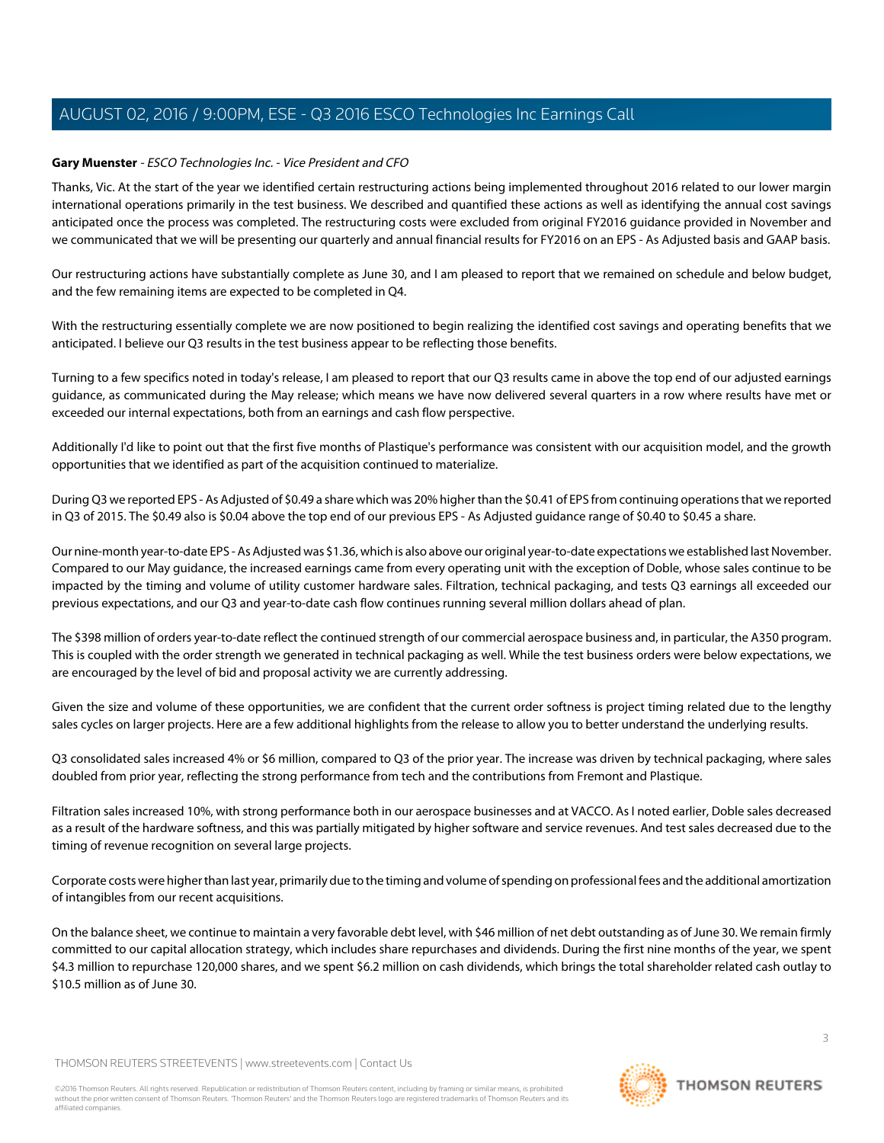## <span id="page-2-0"></span>**Gary Muenster** - ESCO Technologies Inc. - Vice President and CFO

Thanks, Vic. At the start of the year we identified certain restructuring actions being implemented throughout 2016 related to our lower margin international operations primarily in the test business. We described and quantified these actions as well as identifying the annual cost savings anticipated once the process was completed. The restructuring costs were excluded from original FY2016 guidance provided in November and we communicated that we will be presenting our quarterly and annual financial results for FY2016 on an EPS - As Adjusted basis and GAAP basis.

Our restructuring actions have substantially complete as June 30, and I am pleased to report that we remained on schedule and below budget, and the few remaining items are expected to be completed in Q4.

With the restructuring essentially complete we are now positioned to begin realizing the identified cost savings and operating benefits that we anticipated. I believe our Q3 results in the test business appear to be reflecting those benefits.

Turning to a few specifics noted in today's release, I am pleased to report that our Q3 results came in above the top end of our adjusted earnings guidance, as communicated during the May release; which means we have now delivered several quarters in a row where results have met or exceeded our internal expectations, both from an earnings and cash flow perspective.

Additionally I'd like to point out that the first five months of Plastique's performance was consistent with our acquisition model, and the growth opportunities that we identified as part of the acquisition continued to materialize.

During Q3 we reported EPS - As Adjusted of \$0.49 a share which was 20% higher than the \$0.41 of EPS from continuing operations that we reported in Q3 of 2015. The \$0.49 also is \$0.04 above the top end of our previous EPS - As Adjusted guidance range of \$0.40 to \$0.45 a share.

Our nine-month year-to-date EPS - As Adjusted was \$1.36, which is also above our original year-to-date expectations we established last November. Compared to our May guidance, the increased earnings came from every operating unit with the exception of Doble, whose sales continue to be impacted by the timing and volume of utility customer hardware sales. Filtration, technical packaging, and tests Q3 earnings all exceeded our previous expectations, and our Q3 and year-to-date cash flow continues running several million dollars ahead of plan.

The \$398 million of orders year-to-date reflect the continued strength of our commercial aerospace business and, in particular, the A350 program. This is coupled with the order strength we generated in technical packaging as well. While the test business orders were below expectations, we are encouraged by the level of bid and proposal activity we are currently addressing.

Given the size and volume of these opportunities, we are confident that the current order softness is project timing related due to the lengthy sales cycles on larger projects. Here are a few additional highlights from the release to allow you to better understand the underlying results.

Q3 consolidated sales increased 4% or \$6 million, compared to Q3 of the prior year. The increase was driven by technical packaging, where sales doubled from prior year, reflecting the strong performance from tech and the contributions from Fremont and Plastique.

Filtration sales increased 10%, with strong performance both in our aerospace businesses and at VACCO. As I noted earlier, Doble sales decreased as a result of the hardware softness, and this was partially mitigated by higher software and service revenues. And test sales decreased due to the timing of revenue recognition on several large projects.

Corporate costs were higher than last year, primarily due to the timing and volume of spending on professional fees and the additional amortization of intangibles from our recent acquisitions.

On the balance sheet, we continue to maintain a very favorable debt level, with \$46 million of net debt outstanding as of June 30. We remain firmly committed to our capital allocation strategy, which includes share repurchases and dividends. During the first nine months of the year, we spent \$4.3 million to repurchase 120,000 shares, and we spent \$6.2 million on cash dividends, which brings the total shareholder related cash outlay to \$10.5 million as of June 30.

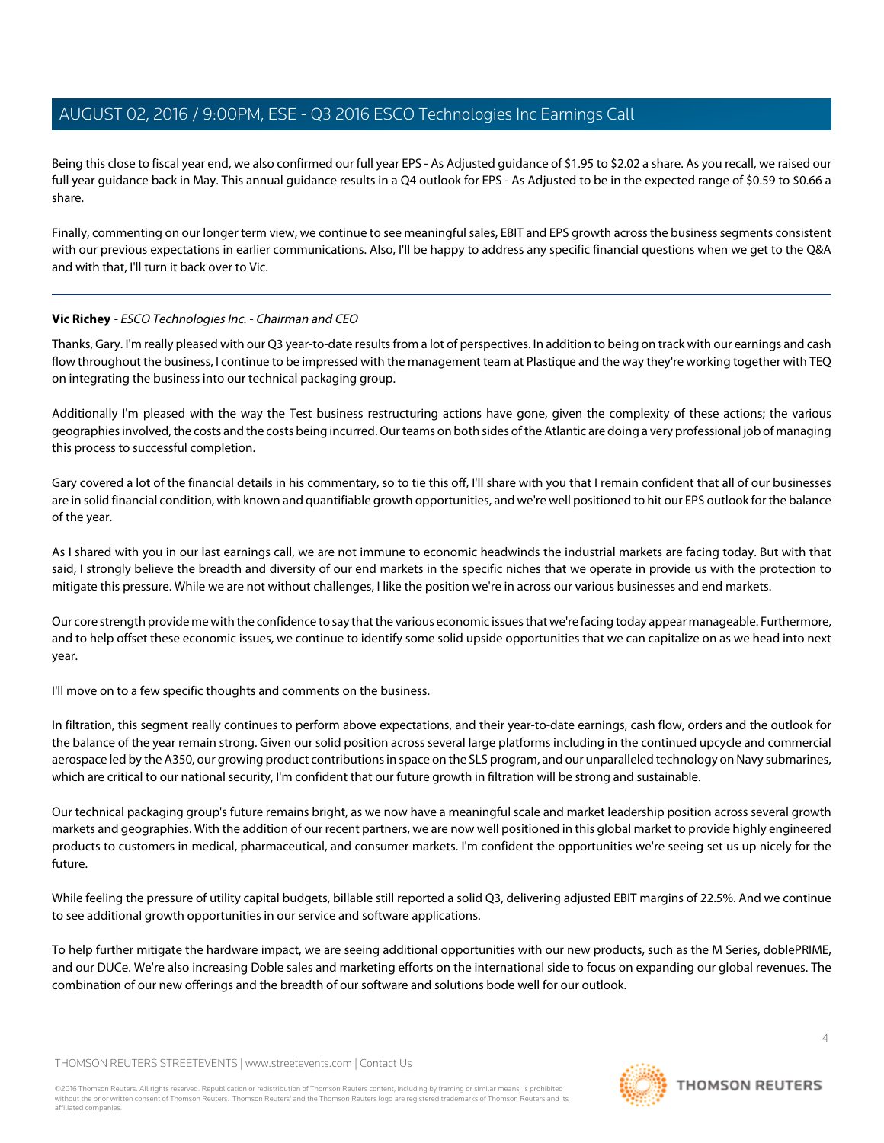Being this close to fiscal year end, we also confirmed our full year EPS - As Adjusted guidance of \$1.95 to \$2.02 a share. As you recall, we raised our full year guidance back in May. This annual guidance results in a Q4 outlook for EPS - As Adjusted to be in the expected range of \$0.59 to \$0.66 a share.

Finally, commenting on our longer term view, we continue to see meaningful sales, EBIT and EPS growth across the business segments consistent with our previous expectations in earlier communications. Also, I'll be happy to address any specific financial questions when we get to the Q&A and with that, I'll turn it back over to Vic.

## **Vic Richey** - ESCO Technologies Inc. - Chairman and CEO

Thanks, Gary. I'm really pleased with our Q3 year-to-date results from a lot of perspectives. In addition to being on track with our earnings and cash flow throughout the business, I continue to be impressed with the management team at Plastique and the way they're working together with TEQ on integrating the business into our technical packaging group.

Additionally I'm pleased with the way the Test business restructuring actions have gone, given the complexity of these actions; the various geographies involved, the costs and the costs being incurred. Our teams on both sides of the Atlantic are doing a very professional job of managing this process to successful completion.

Gary covered a lot of the financial details in his commentary, so to tie this off, I'll share with you that I remain confident that all of our businesses are in solid financial condition, with known and quantifiable growth opportunities, and we're well positioned to hit our EPS outlook for the balance of the year.

As I shared with you in our last earnings call, we are not immune to economic headwinds the industrial markets are facing today. But with that said, I strongly believe the breadth and diversity of our end markets in the specific niches that we operate in provide us with the protection to mitigate this pressure. While we are not without challenges, I like the position we're in across our various businesses and end markets.

Our core strength provide me with the confidence to say that the various economic issues that we're facing today appear manageable. Furthermore, and to help offset these economic issues, we continue to identify some solid upside opportunities that we can capitalize on as we head into next year.

I'll move on to a few specific thoughts and comments on the business.

In filtration, this segment really continues to perform above expectations, and their year-to-date earnings, cash flow, orders and the outlook for the balance of the year remain strong. Given our solid position across several large platforms including in the continued upcycle and commercial aerospace led by the A350, our growing product contributions in space on the SLS program, and our unparalleled technology on Navy submarines, which are critical to our national security, I'm confident that our future growth in filtration will be strong and sustainable.

Our technical packaging group's future remains bright, as we now have a meaningful scale and market leadership position across several growth markets and geographies. With the addition of our recent partners, we are now well positioned in this global market to provide highly engineered products to customers in medical, pharmaceutical, and consumer markets. I'm confident the opportunities we're seeing set us up nicely for the future.

While feeling the pressure of utility capital budgets, billable still reported a solid Q3, delivering adjusted EBIT margins of 22.5%. And we continue to see additional growth opportunities in our service and software applications.

To help further mitigate the hardware impact, we are seeing additional opportunities with our new products, such as the M Series, doblePRIME, and our DUCe. We're also increasing Doble sales and marketing efforts on the international side to focus on expanding our global revenues. The combination of our new offerings and the breadth of our software and solutions bode well for our outlook.

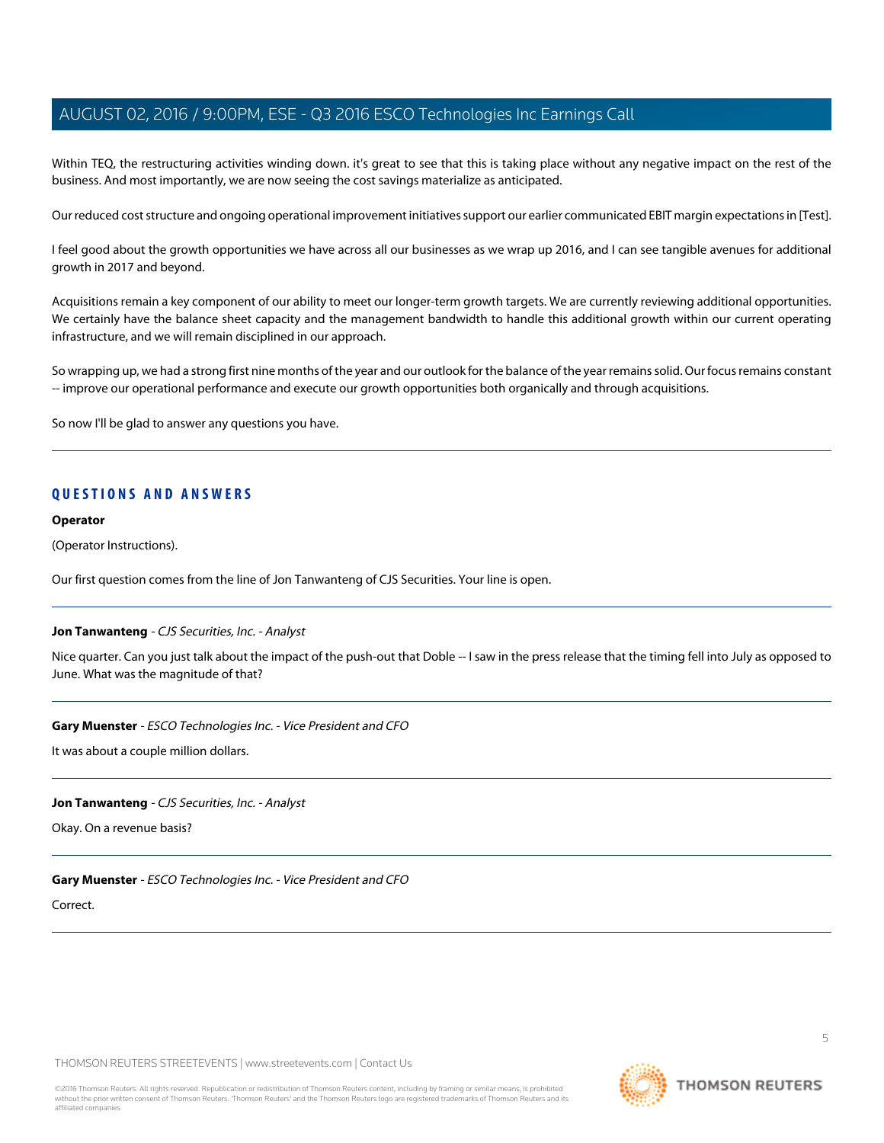Within TEQ, the restructuring activities winding down. it's great to see that this is taking place without any negative impact on the rest of the business. And most importantly, we are now seeing the cost savings materialize as anticipated.

Our reduced cost structure and ongoing operational improvement initiatives support our earlier communicated EBIT margin expectations in [Test].

I feel good about the growth opportunities we have across all our businesses as we wrap up 2016, and I can see tangible avenues for additional growth in 2017 and beyond.

Acquisitions remain a key component of our ability to meet our longer-term growth targets. We are currently reviewing additional opportunities. We certainly have the balance sheet capacity and the management bandwidth to handle this additional growth within our current operating infrastructure, and we will remain disciplined in our approach.

So wrapping up, we had a strong first nine months of the year and our outlook for the balance of the year remains solid. Our focus remains constant -- improve our operational performance and execute our growth opportunities both organically and through acquisitions.

So now I'll be glad to answer any questions you have.

## **QUESTIONS AND ANSWERS**

#### **Operator**

(Operator Instructions).

<span id="page-4-0"></span>Our first question comes from the line of Jon Tanwanteng of CJS Securities. Your line is open.

#### **Jon Tanwanteng** - CJS Securities, Inc. - Analyst

Nice quarter. Can you just talk about the impact of the push-out that Doble -- I saw in the press release that the timing fell into July as opposed to June. What was the magnitude of that?

#### **Gary Muenster** - ESCO Technologies Inc. - Vice President and CFO

It was about a couple million dollars.

#### **Jon Tanwanteng** - CJS Securities, Inc. - Analyst

Okay. On a revenue basis?

#### **Gary Muenster** - ESCO Technologies Inc. - Vice President and CFO

Correct.

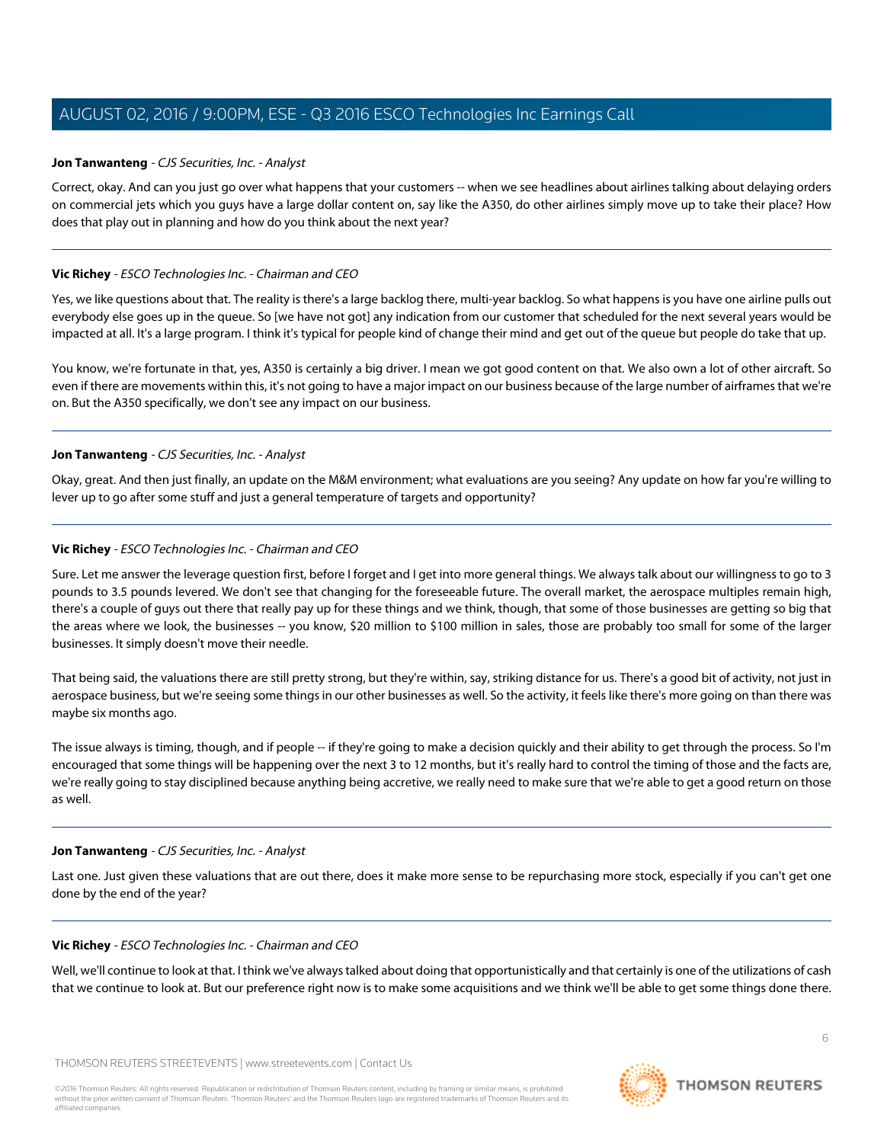#### **Jon Tanwanteng** - CJS Securities, Inc. - Analyst

Correct, okay. And can you just go over what happens that your customers -- when we see headlines about airlines talking about delaying orders on commercial jets which you guys have a large dollar content on, say like the A350, do other airlines simply move up to take their place? How does that play out in planning and how do you think about the next year?

## **Vic Richey** - ESCO Technologies Inc. - Chairman and CEO

Yes, we like questions about that. The reality is there's a large backlog there, multi-year backlog. So what happens is you have one airline pulls out everybody else goes up in the queue. So [we have not got] any indication from our customer that scheduled for the next several years would be impacted at all. It's a large program. I think it's typical for people kind of change their mind and get out of the queue but people do take that up.

You know, we're fortunate in that, yes, A350 is certainly a big driver. I mean we got good content on that. We also own a lot of other aircraft. So even if there are movements within this, it's not going to have a major impact on our business because of the large number of airframes that we're on. But the A350 specifically, we don't see any impact on our business.

## **Jon Tanwanteng** - CJS Securities, Inc. - Analyst

Okay, great. And then just finally, an update on the M&M environment; what evaluations are you seeing? Any update on how far you're willing to lever up to go after some stuff and just a general temperature of targets and opportunity?

## **Vic Richey** - ESCO Technologies Inc. - Chairman and CEO

Sure. Let me answer the leverage question first, before I forget and I get into more general things. We always talk about our willingness to go to 3 pounds to 3.5 pounds levered. We don't see that changing for the foreseeable future. The overall market, the aerospace multiples remain high, there's a couple of guys out there that really pay up for these things and we think, though, that some of those businesses are getting so big that the areas where we look, the businesses -- you know, \$20 million to \$100 million in sales, those are probably too small for some of the larger businesses. It simply doesn't move their needle.

That being said, the valuations there are still pretty strong, but they're within, say, striking distance for us. There's a good bit of activity, not just in aerospace business, but we're seeing some things in our other businesses as well. So the activity, it feels like there's more going on than there was maybe six months ago.

The issue always is timing, though, and if people -- if they're going to make a decision quickly and their ability to get through the process. So I'm encouraged that some things will be happening over the next 3 to 12 months, but it's really hard to control the timing of those and the facts are, we're really going to stay disciplined because anything being accretive, we really need to make sure that we're able to get a good return on those as well.

#### **Jon Tanwanteng** - CJS Securities, Inc. - Analyst

Last one. Just given these valuations that are out there, does it make more sense to be repurchasing more stock, especially if you can't get one done by the end of the year?

#### **Vic Richey** - ESCO Technologies Inc. - Chairman and CEO

Well, we'll continue to look at that. I think we've always talked about doing that opportunistically and that certainly is one of the utilizations of cash that we continue to look at. But our preference right now is to make some acquisitions and we think we'll be able to get some things done there.

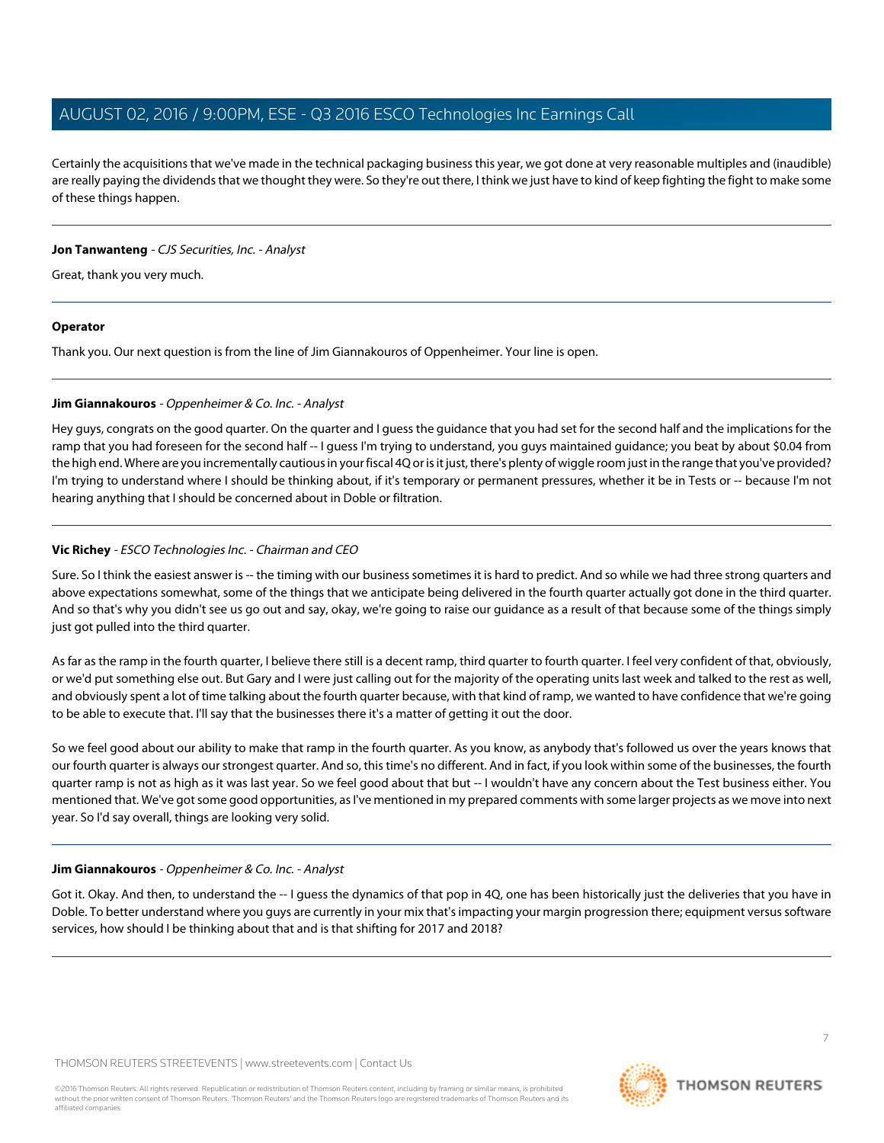Certainly the acquisitions that we've made in the technical packaging business this year, we got done at very reasonable multiples and (inaudible) are really paying the dividends that we thought they were. So they're out there, I think we just have to kind of keep fighting the fight to make some of these things happen.

## **Jon Tanwanteng** - CJS Securities, Inc. - Analyst

Great, thank you very much.

## **Operator**

<span id="page-6-0"></span>Thank you. Our next question is from the line of Jim Giannakouros of Oppenheimer. Your line is open.

## **Jim Giannakouros** - Oppenheimer & Co. Inc. - Analyst

Hey guys, congrats on the good quarter. On the quarter and I guess the guidance that you had set for the second half and the implications for the ramp that you had foreseen for the second half -- I guess I'm trying to understand, you guys maintained guidance; you beat by about \$0.04 from the high end. Where are you incrementally cautious in your fiscal 4Q or is it just, there's plenty of wiggle room just in the range that you've provided? I'm trying to understand where I should be thinking about, if it's temporary or permanent pressures, whether it be in Tests or -- because I'm not hearing anything that I should be concerned about in Doble or filtration.

## **Vic Richey** - ESCO Technologies Inc. - Chairman and CEO

Sure. So I think the easiest answer is -- the timing with our business sometimes it is hard to predict. And so while we had three strong quarters and above expectations somewhat, some of the things that we anticipate being delivered in the fourth quarter actually got done in the third quarter. And so that's why you didn't see us go out and say, okay, we're going to raise our guidance as a result of that because some of the things simply just got pulled into the third quarter.

As far as the ramp in the fourth quarter, I believe there still is a decent ramp, third quarter to fourth quarter. I feel very confident of that, obviously, or we'd put something else out. But Gary and I were just calling out for the majority of the operating units last week and talked to the rest as well, and obviously spent a lot of time talking about the fourth quarter because, with that kind of ramp, we wanted to have confidence that we're going to be able to execute that. I'll say that the businesses there it's a matter of getting it out the door.

So we feel good about our ability to make that ramp in the fourth quarter. As you know, as anybody that's followed us over the years knows that our fourth quarter is always our strongest quarter. And so, this time's no different. And in fact, if you look within some of the businesses, the fourth quarter ramp is not as high as it was last year. So we feel good about that but -- I wouldn't have any concern about the Test business either. You mentioned that. We've got some good opportunities, as I've mentioned in my prepared comments with some larger projects as we move into next year. So I'd say overall, things are looking very solid.

## **Jim Giannakouros** - Oppenheimer & Co. Inc. - Analyst

Got it. Okay. And then, to understand the -- I quess the dynamics of that pop in 4Q, one has been historically just the deliveries that you have in Doble. To better understand where you guys are currently in your mix that's impacting your margin progression there; equipment versus software services, how should I be thinking about that and is that shifting for 2017 and 2018?

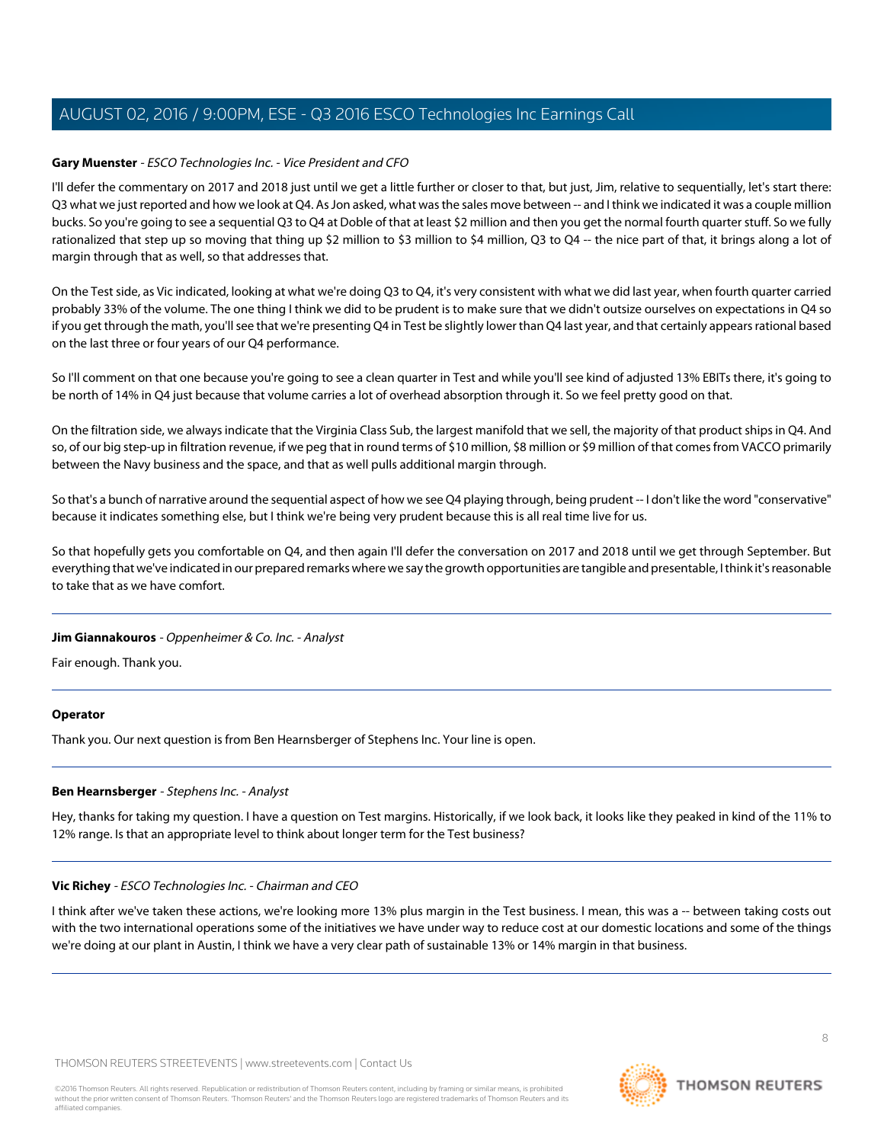## **Gary Muenster** - ESCO Technologies Inc. - Vice President and CFO

I'll defer the commentary on 2017 and 2018 just until we get a little further or closer to that, but just, Jim, relative to sequentially, let's start there: Q3 what we just reported and how we look at Q4. As Jon asked, what was the sales move between -- and I think we indicated it was a couple million bucks. So you're going to see a sequential Q3 to Q4 at Doble of that at least \$2 million and then you get the normal fourth quarter stuff. So we fully rationalized that step up so moving that thing up \$2 million to \$3 million to \$4 million, Q3 to Q4 -- the nice part of that, it brings along a lot of margin through that as well, so that addresses that.

On the Test side, as Vic indicated, looking at what we're doing Q3 to Q4, it's very consistent with what we did last year, when fourth quarter carried probably 33% of the volume. The one thing I think we did to be prudent is to make sure that we didn't outsize ourselves on expectations in Q4 so if you get through the math, you'll see that we're presenting Q4 in Test be slightly lower than Q4 last year, and that certainly appears rational based on the last three or four years of our Q4 performance.

So I'll comment on that one because you're going to see a clean quarter in Test and while you'll see kind of adjusted 13% EBITs there, it's going to be north of 14% in Q4 just because that volume carries a lot of overhead absorption through it. So we feel pretty good on that.

On the filtration side, we always indicate that the Virginia Class Sub, the largest manifold that we sell, the majority of that product ships in Q4. And so, of our big step-up in filtration revenue, if we peg that in round terms of \$10 million, \$8 million or \$9 million of that comes from VACCO primarily between the Navy business and the space, and that as well pulls additional margin through.

So that's a bunch of narrative around the sequential aspect of how we see Q4 playing through, being prudent -- I don't like the word "conservative" because it indicates something else, but I think we're being very prudent because this is all real time live for us.

So that hopefully gets you comfortable on Q4, and then again I'll defer the conversation on 2017 and 2018 until we get through September. But everything that we've indicated in our prepared remarks where we say the growth opportunities are tangible and presentable, I think it's reasonable to take that as we have comfort.

## **Jim Giannakouros** - Oppenheimer & Co. Inc. - Analyst

Fair enough. Thank you.

## <span id="page-7-0"></span>**Operator**

Thank you. Our next question is from Ben Hearnsberger of Stephens Inc. Your line is open.

## **Ben Hearnsberger** - Stephens Inc. - Analyst

Hey, thanks for taking my question. I have a question on Test margins. Historically, if we look back, it looks like they peaked in kind of the 11% to 12% range. Is that an appropriate level to think about longer term for the Test business?

## **Vic Richey** - ESCO Technologies Inc. - Chairman and CEO

I think after we've taken these actions, we're looking more 13% plus margin in the Test business. I mean, this was a -- between taking costs out with the two international operations some of the initiatives we have under way to reduce cost at our domestic locations and some of the things we're doing at our plant in Austin, I think we have a very clear path of sustainable 13% or 14% margin in that business.

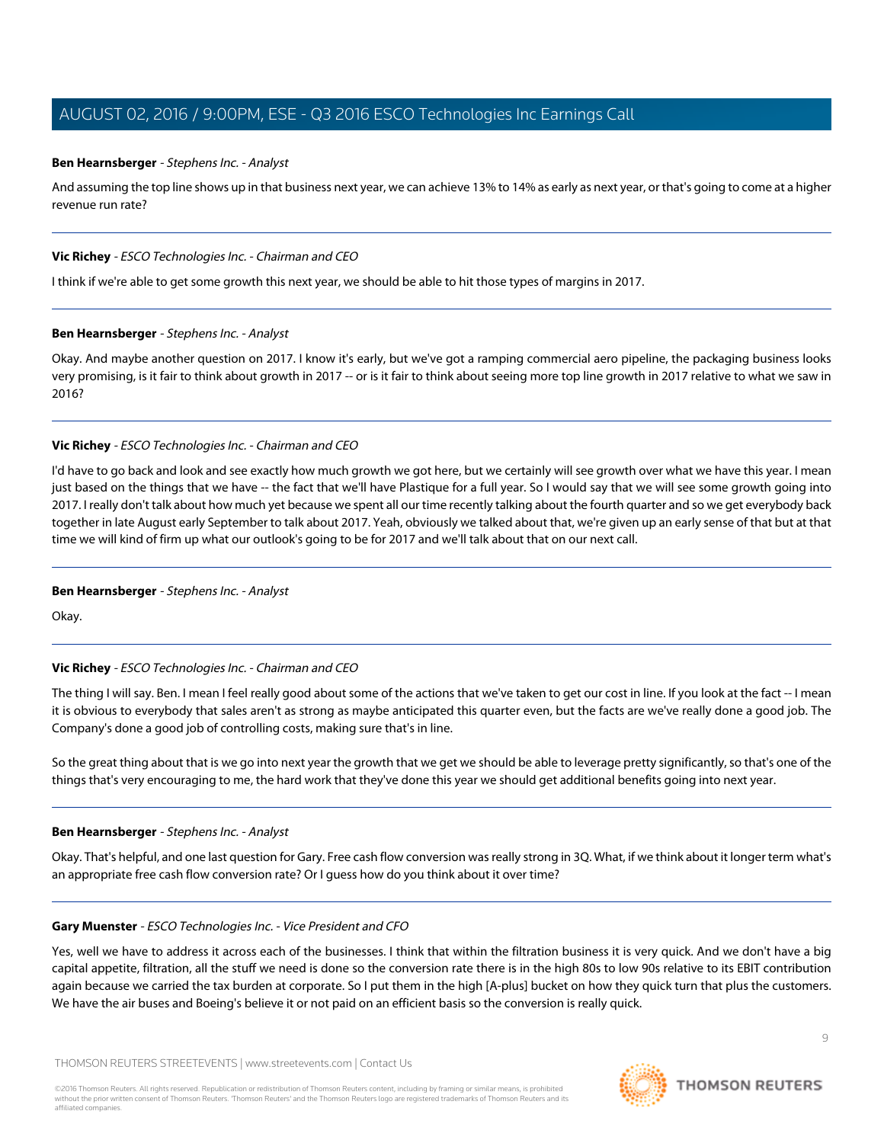## **Ben Hearnsberger** - Stephens Inc. - Analyst

And assuming the top line shows up in that business next year, we can achieve 13% to 14% as early as next year, or that's going to come at a higher revenue run rate?

#### **Vic Richey** - ESCO Technologies Inc. - Chairman and CEO

I think if we're able to get some growth this next year, we should be able to hit those types of margins in 2017.

#### **Ben Hearnsberger** - Stephens Inc. - Analyst

Okay. And maybe another question on 2017. I know it's early, but we've got a ramping commercial aero pipeline, the packaging business looks very promising, is it fair to think about growth in 2017 -- or is it fair to think about seeing more top line growth in 2017 relative to what we saw in 2016?

## **Vic Richey** - ESCO Technologies Inc. - Chairman and CEO

I'd have to go back and look and see exactly how much growth we got here, but we certainly will see growth over what we have this year. I mean just based on the things that we have -- the fact that we'll have Plastique for a full year. So I would say that we will see some growth going into 2017. I really don't talk about how much yet because we spent all our time recently talking about the fourth quarter and so we get everybody back together in late August early September to talk about 2017. Yeah, obviously we talked about that, we're given up an early sense of that but at that time we will kind of firm up what our outlook's going to be for 2017 and we'll talk about that on our next call.

#### **Ben Hearnsberger** - Stephens Inc. - Analyst

Okay.

## **Vic Richey** - ESCO Technologies Inc. - Chairman and CEO

The thing I will say. Ben. I mean I feel really good about some of the actions that we've taken to get our cost in line. If you look at the fact -- I mean it is obvious to everybody that sales aren't as strong as maybe anticipated this quarter even, but the facts are we've really done a good job. The Company's done a good job of controlling costs, making sure that's in line.

So the great thing about that is we go into next year the growth that we get we should be able to leverage pretty significantly, so that's one of the things that's very encouraging to me, the hard work that they've done this year we should get additional benefits going into next year.

#### **Ben Hearnsberger** - Stephens Inc. - Analyst

Okay. That's helpful, and one last question for Gary. Free cash flow conversion was really strong in 3Q. What, if we think about it longer term what's an appropriate free cash flow conversion rate? Or I guess how do you think about it over time?

## **Gary Muenster** - ESCO Technologies Inc. - Vice President and CFO

Yes, well we have to address it across each of the businesses. I think that within the filtration business it is very quick. And we don't have a big capital appetite, filtration, all the stuff we need is done so the conversion rate there is in the high 80s to low 90s relative to its EBIT contribution again because we carried the tax burden at corporate. So I put them in the high [A-plus] bucket on how they quick turn that plus the customers. We have the air buses and Boeing's believe it or not paid on an efficient basis so the conversion is really quick.

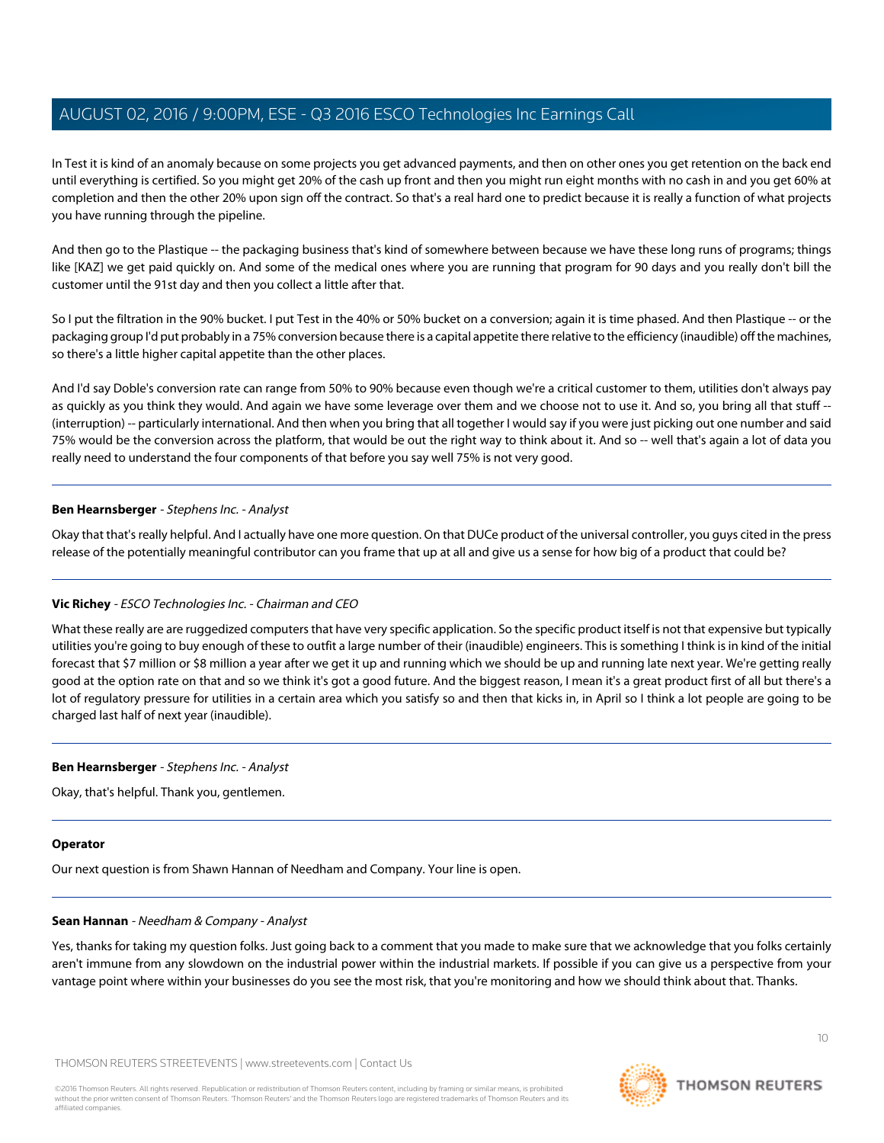In Test it is kind of an anomaly because on some projects you get advanced payments, and then on other ones you get retention on the back end until everything is certified. So you might get 20% of the cash up front and then you might run eight months with no cash in and you get 60% at completion and then the other 20% upon sign off the contract. So that's a real hard one to predict because it is really a function of what projects you have running through the pipeline.

And then go to the Plastique -- the packaging business that's kind of somewhere between because we have these long runs of programs; things like [KAZ] we get paid quickly on. And some of the medical ones where you are running that program for 90 days and you really don't bill the customer until the 91st day and then you collect a little after that.

So I put the filtration in the 90% bucket. I put Test in the 40% or 50% bucket on a conversion; again it is time phased. And then Plastique -- or the packaging group I'd put probably in a 75% conversion because there is a capital appetite there relative to the efficiency (inaudible) off the machines, so there's a little higher capital appetite than the other places.

And I'd say Doble's conversion rate can range from 50% to 90% because even though we're a critical customer to them, utilities don't always pay as quickly as you think they would. And again we have some leverage over them and we choose not to use it. And so, you bring all that stuff --(interruption) -- particularly international. And then when you bring that all together I would say if you were just picking out one number and said 75% would be the conversion across the platform, that would be out the right way to think about it. And so -- well that's again a lot of data you really need to understand the four components of that before you say well 75% is not very good.

## **Ben Hearnsberger** - Stephens Inc. - Analyst

Okay that that's really helpful. And I actually have one more question. On that DUCe product of the universal controller, you guys cited in the press release of the potentially meaningful contributor can you frame that up at all and give us a sense for how big of a product that could be?

## **Vic Richey** - ESCO Technologies Inc. - Chairman and CEO

What these really are are ruggedized computers that have very specific application. So the specific product itself is not that expensive but typically utilities you're going to buy enough of these to outfit a large number of their (inaudible) engineers. This is something I think is in kind of the initial forecast that \$7 million or \$8 million a year after we get it up and running which we should be up and running late next year. We're getting really good at the option rate on that and so we think it's got a good future. And the biggest reason, I mean it's a great product first of all but there's a lot of regulatory pressure for utilities in a certain area which you satisfy so and then that kicks in, in April so I think a lot people are going to be charged last half of next year (inaudible).

#### **Ben Hearnsberger** - Stephens Inc. - Analyst

Okay, that's helpful. Thank you, gentlemen.

#### <span id="page-9-0"></span>**Operator**

Our next question is from Shawn Hannan of Needham and Company. Your line is open.

#### **Sean Hannan** - Needham & Company - Analyst

Yes, thanks for taking my question folks. Just going back to a comment that you made to make sure that we acknowledge that you folks certainly aren't immune from any slowdown on the industrial power within the industrial markets. If possible if you can give us a perspective from your vantage point where within your businesses do you see the most risk, that you're monitoring and how we should think about that. Thanks.

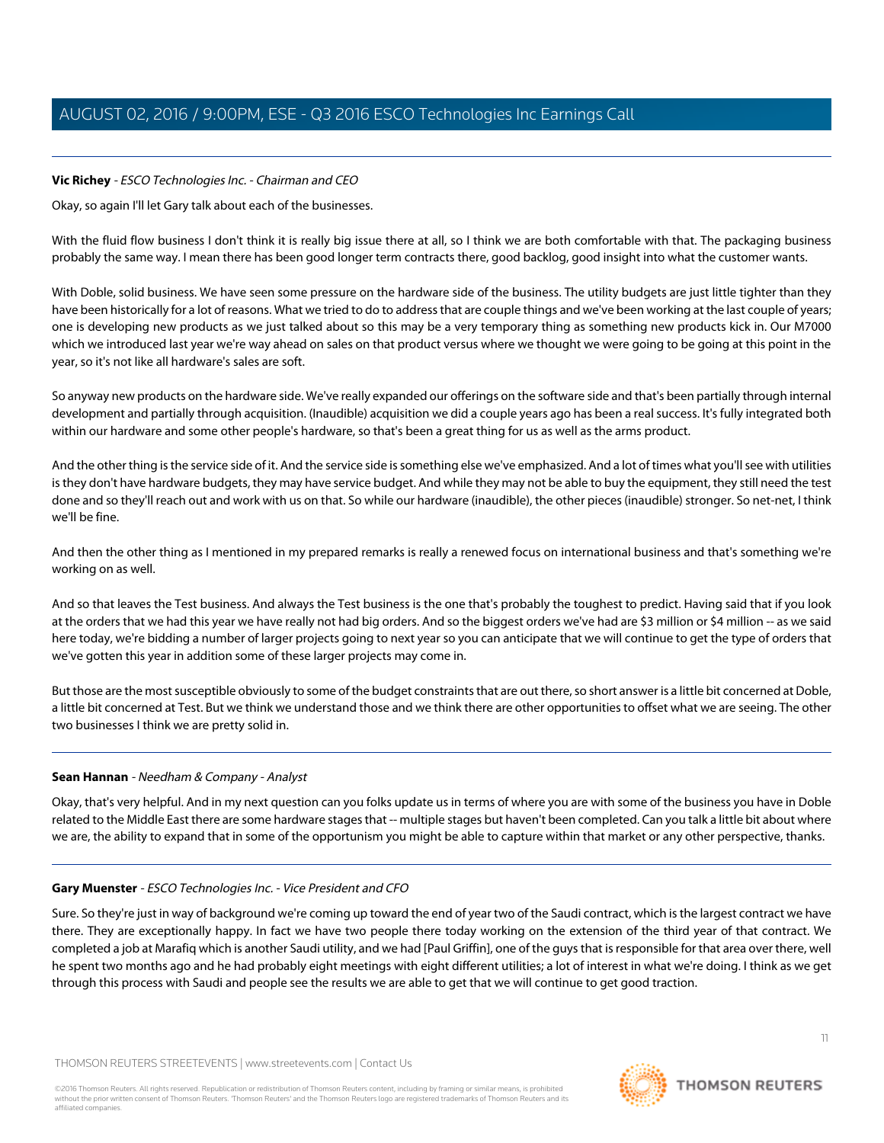## **Vic Richey** - ESCO Technologies Inc. - Chairman and CEO

Okay, so again I'll let Gary talk about each of the businesses.

With the fluid flow business I don't think it is really big issue there at all, so I think we are both comfortable with that. The packaging business probably the same way. I mean there has been good longer term contracts there, good backlog, good insight into what the customer wants.

With Doble, solid business. We have seen some pressure on the hardware side of the business. The utility budgets are just little tighter than they have been historically for a lot of reasons. What we tried to do to address that are couple things and we've been working at the last couple of years; one is developing new products as we just talked about so this may be a very temporary thing as something new products kick in. Our M7000 which we introduced last year we're way ahead on sales on that product versus where we thought we were going to be going at this point in the year, so it's not like all hardware's sales are soft.

So anyway new products on the hardware side. We've really expanded our offerings on the software side and that's been partially through internal development and partially through acquisition. (Inaudible) acquisition we did a couple years ago has been a real success. It's fully integrated both within our hardware and some other people's hardware, so that's been a great thing for us as well as the arms product.

And the other thing is the service side of it. And the service side is something else we've emphasized. And a lot of times what you'll see with utilities is they don't have hardware budgets, they may have service budget. And while they may not be able to buy the equipment, they still need the test done and so they'll reach out and work with us on that. So while our hardware (inaudible), the other pieces (inaudible) stronger. So net-net, I think we'll be fine.

And then the other thing as I mentioned in my prepared remarks is really a renewed focus on international business and that's something we're working on as well.

And so that leaves the Test business. And always the Test business is the one that's probably the toughest to predict. Having said that if you look at the orders that we had this year we have really not had big orders. And so the biggest orders we've had are \$3 million or \$4 million -- as we said here today, we're bidding a number of larger projects going to next year so you can anticipate that we will continue to get the type of orders that we've gotten this year in addition some of these larger projects may come in.

But those are the most susceptible obviously to some of the budget constraints that are out there, so short answer is a little bit concerned at Doble, a little bit concerned at Test. But we think we understand those and we think there are other opportunities to offset what we are seeing. The other two businesses I think we are pretty solid in.

## **Sean Hannan** - Needham & Company - Analyst

Okay, that's very helpful. And in my next question can you folks update us in terms of where you are with some of the business you have in Doble related to the Middle East there are some hardware stages that -- multiple stages but haven't been completed. Can you talk a little bit about where we are, the ability to expand that in some of the opportunism you might be able to capture within that market or any other perspective, thanks.

## **Gary Muenster** - ESCO Technologies Inc. - Vice President and CFO

Sure. So they're just in way of background we're coming up toward the end of year two of the Saudi contract, which is the largest contract we have there. They are exceptionally happy. In fact we have two people there today working on the extension of the third year of that contract. We completed a job at Marafiq which is another Saudi utility, and we had [Paul Griffin], one of the guys that is responsible for that area over there, well he spent two months ago and he had probably eight meetings with eight different utilities; a lot of interest in what we're doing. I think as we get through this process with Saudi and people see the results we are able to get that we will continue to get good traction.

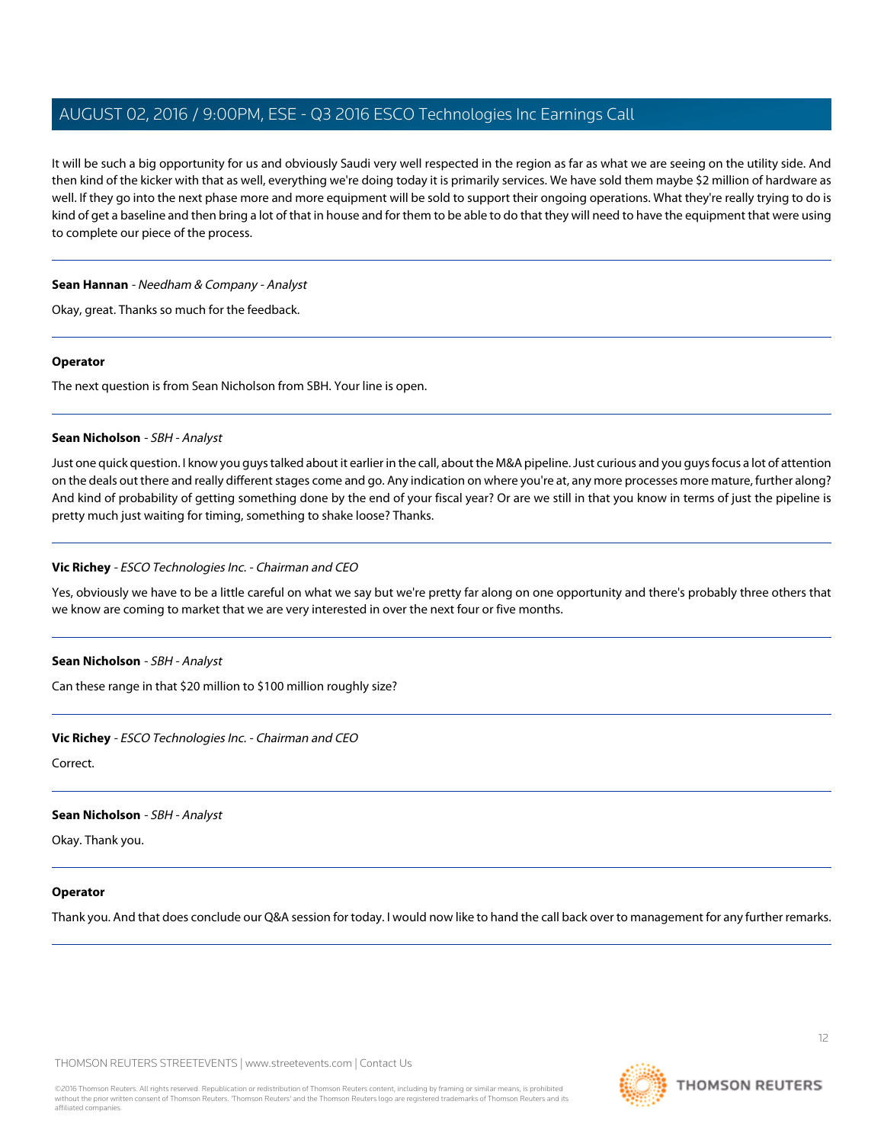It will be such a big opportunity for us and obviously Saudi very well respected in the region as far as what we are seeing on the utility side. And then kind of the kicker with that as well, everything we're doing today it is primarily services. We have sold them maybe \$2 million of hardware as well. If they go into the next phase more and more equipment will be sold to support their ongoing operations. What they're really trying to do is kind of get a baseline and then bring a lot of that in house and for them to be able to do that they will need to have the equipment that were using to complete our piece of the process.

## **Sean Hannan** - Needham & Company - Analyst

Okay, great. Thanks so much for the feedback.

#### **Operator**

<span id="page-11-0"></span>The next question is from Sean Nicholson from SBH. Your line is open.

## **Sean Nicholson** - SBH - Analyst

Just one quick question. I know you guys talked about it earlier in the call, about the M&A pipeline. Just curious and you guys focus a lot of attention on the deals out there and really different stages come and go. Any indication on where you're at, any more processes more mature, further along? And kind of probability of getting something done by the end of your fiscal year? Or are we still in that you know in terms of just the pipeline is pretty much just waiting for timing, something to shake loose? Thanks.

## **Vic Richey** - ESCO Technologies Inc. - Chairman and CEO

Yes, obviously we have to be a little careful on what we say but we're pretty far along on one opportunity and there's probably three others that we know are coming to market that we are very interested in over the next four or five months.

#### **Sean Nicholson** - SBH - Analyst

Can these range in that \$20 million to \$100 million roughly size?

#### **Vic Richey** - ESCO Technologies Inc. - Chairman and CEO

Correct.

#### **Sean Nicholson** - SBH - Analyst

Okay. Thank you.

#### **Operator**

Thank you. And that does conclude our Q&A session for today. I would now like to hand the call back over to management for any further remarks.